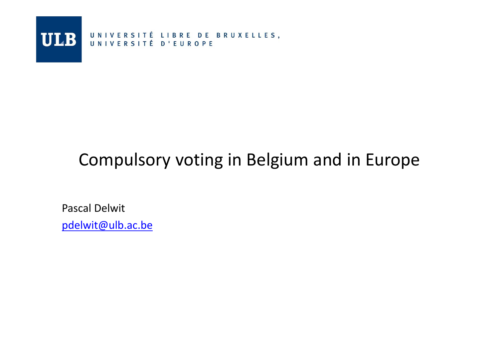

### Compulsory voting in Belgium and in Europe

Pascal Delwitpdelwit@ulb.ac.be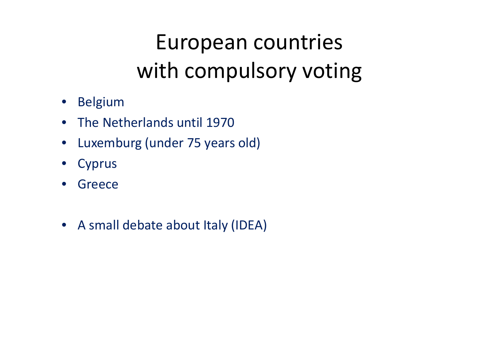## European countries with compulsory voting

- Belgium
- The Netherlands until 1970
- Luxemburg (under 75 years old)
- Cyprus
- $\bullet$ Greece
- A small debate about Italy (IDEA)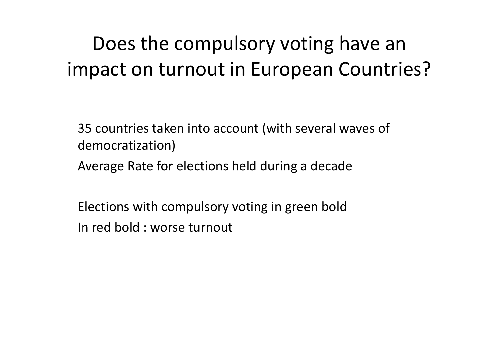### Does the compulsory voting have an impact on turnout in European Countries?

35 countries taken into account (with several waves of democratization)Average Rate for elections held during a decade

Elections with compulsory voting in green boldIn red bold : worse turnout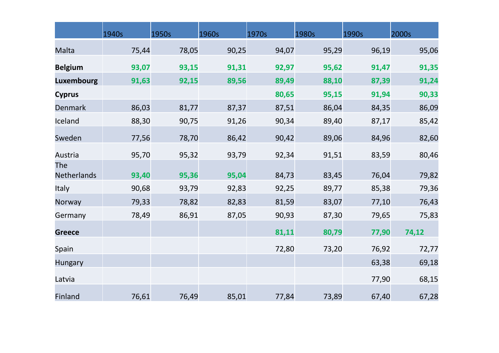|                    | 1940s | 1950s | 1960s | 1970s | 1980s | 1990s | 2000s |
|--------------------|-------|-------|-------|-------|-------|-------|-------|
| Malta              | 75,44 | 78,05 | 90,25 | 94,07 | 95,29 | 96,19 | 95,06 |
| <b>Belgium</b>     | 93,07 | 93,15 | 91,31 | 92,97 | 95,62 | 91,47 | 91,35 |
| <b>Luxembourg</b>  | 91,63 | 92,15 | 89,56 | 89,49 | 88,10 | 87,39 | 91,24 |
| <b>Cyprus</b>      |       |       |       | 80,65 | 95,15 | 91,94 | 90,33 |
| Denmark            | 86,03 | 81,77 | 87,37 | 87,51 | 86,04 | 84,35 | 86,09 |
| Iceland            | 88,30 | 90,75 | 91,26 | 90,34 | 89,40 | 87,17 | 85,42 |
| Sweden             | 77,56 | 78,70 | 86,42 | 90,42 | 89,06 | 84,96 | 82,60 |
| Austria            | 95,70 | 95,32 | 93,79 | 92,34 | 91,51 | 83,59 | 80,46 |
| The<br>Netherlands | 93,40 | 95,36 | 95,04 | 84,73 | 83,45 | 76,04 | 79,82 |
| Italy              | 90,68 | 93,79 | 92,83 | 92,25 | 89,77 | 85,38 | 79,36 |
| Norway             | 79,33 | 78,82 | 82,83 | 81,59 | 83,07 | 77,10 | 76,43 |
| Germany            | 78,49 | 86,91 | 87,05 | 90,93 | 87,30 | 79,65 | 75,83 |
| <b>Greece</b>      |       |       |       | 81,11 | 80,79 | 77,90 | 74,12 |
| Spain              |       |       |       | 72,80 | 73,20 | 76,92 | 72,77 |
| <b>Hungary</b>     |       |       |       |       |       | 63,38 | 69,18 |
| Latvia             |       |       |       |       |       | 77,90 | 68,15 |
| Finland            | 76,61 | 76,49 | 85,01 | 77,84 | 73,89 | 67,40 | 67,28 |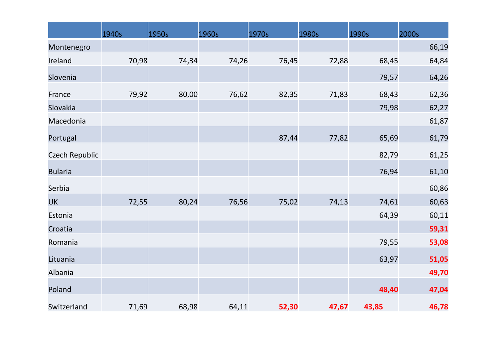|                | 1940s | 1950s | 1960s | 1970s | 1980s | 1990s | 2000s |
|----------------|-------|-------|-------|-------|-------|-------|-------|
| Montenegro     |       |       |       |       |       |       | 66,19 |
| Ireland        | 70,98 | 74,34 | 74,26 | 76,45 | 72,88 | 68,45 | 64,84 |
| Slovenia       |       |       |       |       |       | 79,57 | 64,26 |
| France         | 79,92 | 80,00 | 76,62 | 82,35 | 71,83 | 68,43 | 62,36 |
| Slovakia       |       |       |       |       |       | 79,98 | 62,27 |
| Macedonia      |       |       |       |       |       |       | 61,87 |
| Portugal       |       |       |       | 87,44 | 77,82 | 65,69 | 61,79 |
| Czech Republic |       |       |       |       |       | 82,79 | 61,25 |
| <b>Bularia</b> |       |       |       |       |       | 76,94 | 61,10 |
| Serbia         |       |       |       |       |       |       | 60,86 |
| <b>UK</b>      | 72,55 | 80,24 | 76,56 | 75,02 | 74,13 | 74,61 | 60,63 |
| Estonia        |       |       |       |       |       | 64,39 | 60,11 |
| Croatia        |       |       |       |       |       |       | 59,31 |
| Romania        |       |       |       |       |       | 79,55 | 53,08 |
| Lituania       |       |       |       |       |       | 63,97 | 51,05 |
| Albania        |       |       |       |       |       |       | 49,70 |
| Poland         |       |       |       |       |       | 48,40 | 47,04 |
| Switzerland    | 71,69 | 68,98 | 64,11 | 52,30 | 47,67 | 43,85 | 46,78 |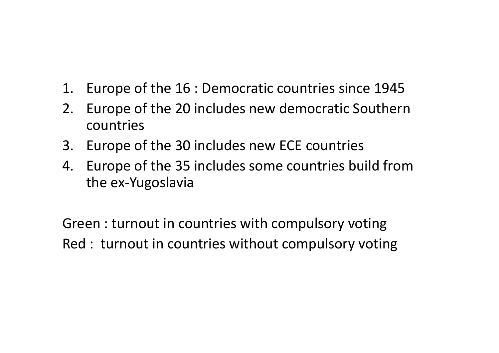- 1. Europe of the 16 : Democratic countries since 1945
- 2. Europe of the 20 includes new democratic Southerncountries
- 3. Europe of the 30 includes new ECE countries
- 4. Europe of the 35 includes some countries build from the ex-Yugoslavia

Green : turnout in countries with compulsory votingRed : turnout in countries without compulsory voting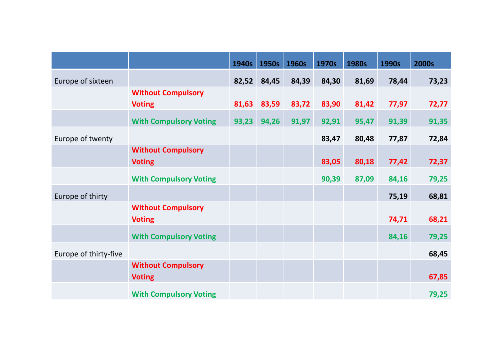|                       |                               | 1940s | 1950s | 1960s | 1970s | 1980s | 1990s | 2000s |
|-----------------------|-------------------------------|-------|-------|-------|-------|-------|-------|-------|
| Europe of sixteen     |                               | 82,52 | 84,45 | 84,39 | 84,30 | 81,69 | 78,44 | 73,23 |
|                       | <b>Without Compulsory</b>     |       |       |       |       |       |       |       |
|                       | <b>Voting</b>                 | 81,63 | 83,59 | 83,72 | 83,90 | 81,42 | 77,97 | 72,77 |
|                       | <b>With Compulsory Voting</b> | 93,23 | 94,26 | 91,97 | 92,91 | 95,47 | 91,39 | 91,35 |
| Europe of twenty      |                               |       |       |       | 83,47 | 80,48 | 77,87 | 72,84 |
|                       | <b>Without Compulsory</b>     |       |       |       |       |       |       | 72,37 |
|                       | <b>Voting</b>                 |       |       |       | 83,05 | 80,18 | 77,42 |       |
|                       | <b>With Compulsory Voting</b> |       |       |       | 90,39 | 87,09 | 84,16 | 79,25 |
| Europe of thirty      |                               |       |       |       |       |       | 75,19 | 68,81 |
|                       | <b>Without Compulsory</b>     |       |       |       |       |       |       |       |
|                       | <b>Voting</b>                 |       |       |       |       |       | 74,71 | 68,21 |
|                       | <b>With Compulsory Voting</b> |       |       |       |       |       | 84,16 | 79,25 |
| Europe of thirty-five |                               |       |       |       |       |       |       | 68,45 |
|                       | <b>Without Compulsory</b>     |       |       |       |       |       |       |       |
|                       | <b>Voting</b>                 |       |       |       |       |       |       | 67,85 |
|                       | <b>With Compulsory Voting</b> |       |       |       |       |       |       | 79,25 |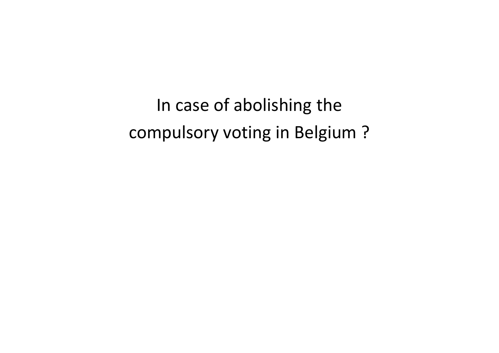In case of abolishing the compulsory voting in Belgium ?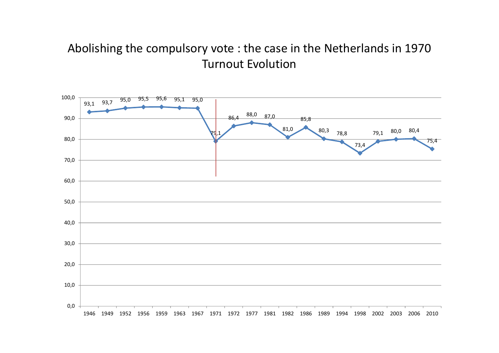#### Abolishing the compulsory vote : the case in the Netherlands in 1970Turnout Evolution

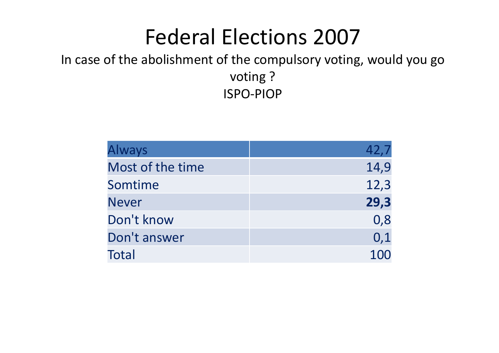## Federal Elections 2007

#### In case of the abolishment of the compulsory voting, would you go voting ?ISPO-PIOP

| <b>Always</b>    | 42,7 |
|------------------|------|
| Most of the time | 14,9 |
| Somtime          | 12,3 |
| <b>Never</b>     | 29,3 |
| Don't know       | 0,8  |
| Don't answer     | 0,1  |
| Total            | 100  |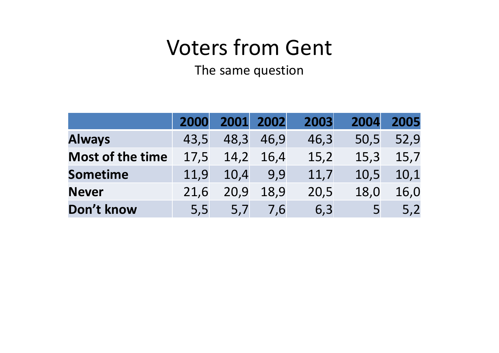# **Voters from Gent**<br>The same question

The same question

|                         | 2000 |      | 2001 2002 | 2003 | 2004 | 2005 |
|-------------------------|------|------|-----------|------|------|------|
| <b>Always</b>           | 43,5 | 48,3 | 46,9      | 46,3 | 50,5 | 52,9 |
| <b>Most of the time</b> | 17,5 | 14,2 | 16,4      | 15,2 | 15,3 | 15,7 |
| <b>Sometime</b>         | 11,9 | 10,4 | 9,9       | 11,7 | 10,5 | 10,1 |
| <b>Never</b>            | 21,6 | 20,9 | 18,9      | 20,5 | 18,0 | 16,0 |
| Don't know              | 5,5  | 5,7  | 7.6       | 6,3  |      | 5,2  |
|                         |      |      |           |      |      |      |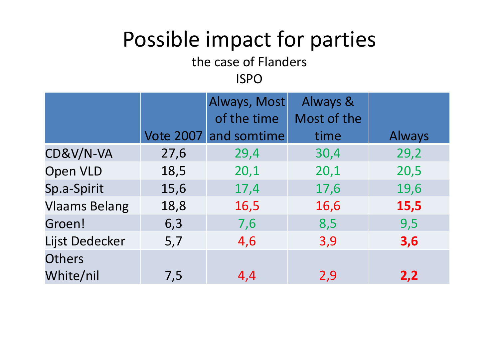## Possible impact for parties

the case of Flanders

#### ISPO

|                      |                  | Always, Most | Always &    |        |
|----------------------|------------------|--------------|-------------|--------|
|                      |                  | of the time  | Most of the |        |
|                      | <b>Vote 2007</b> | and somtime  | time        | Always |
| CD&V/N-VA            | 27,6             | 29,4         | 30,4        | 29,2   |
| <b>Open VLD</b>      | 18,5             | 20,1         | 20,1        | 20,5   |
| Sp.a-Spirit          | 15,6             | 17,4         | 17,6        | 19,6   |
| <b>Vlaams Belang</b> | 18,8             | 16,5         | 16,6        | 15,5   |
| Groen!               | 6,3              | 7,6          | 8,5         | 9,5    |
| Lijst Dedecker       | 5,7              | 4,6          | 3,9         | 3,6    |
| <b>Others</b>        |                  |              |             |        |
| White/nil            | 7,5              | 4,4          | 2,9         | 2,2    |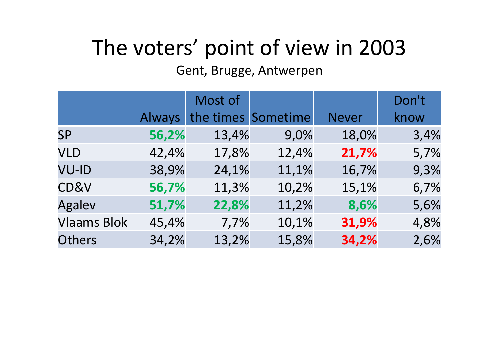# The voters' point of view in 2003

#### Gent, Brugge, Antwerpen

|                    |        | Most of |                    |              | Don't |
|--------------------|--------|---------|--------------------|--------------|-------|
|                    | Always |         | the times Sometime | <b>Never</b> | know  |
| <b>SP</b>          | 56,2%  | 13,4%   | 9,0%               | 18,0%        | 3,4%  |
| <b>VLD</b>         | 42,4%  | 17,8%   | 12,4%              | 21,7%        | 5,7%  |
| <b>VU-ID</b>       | 38,9%  | 24,1%   | 11,1%              | 16,7%        | 9,3%  |
| CD&V               | 56,7%  | 11,3%   | 10,2%              | 15,1%        | 6,7%  |
| <b>Agalev</b>      | 51,7%  | 22,8%   | 11,2%              | 8,6%         | 5,6%  |
| <b>Vlaams Blok</b> | 45,4%  | 7,7%    | 10,1%              | 31,9%        | 4,8%  |
| Others             | 34,2%  | 13,2%   | 15,8%              | 34,2%        | 2,6%  |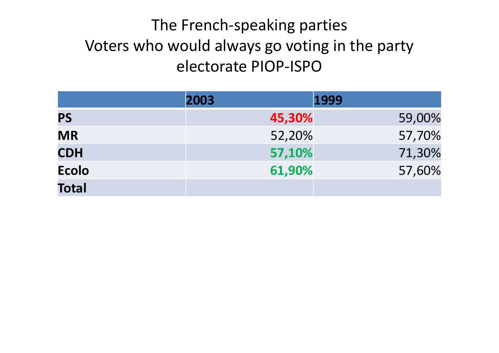### The French-speaking parties Voters who would always go voting in the party electorate PIOP-ISPO

|              | 2003 | 1999   |        |
|--------------|------|--------|--------|
| <b>PS</b>    |      | 45,30% | 59,00% |
| <b>MR</b>    |      | 52,20% | 57,70% |
| <b>CDH</b>   |      | 57,10% | 71,30% |
| <b>Ecolo</b> |      | 61,90% | 57,60% |
| <b>Total</b> |      |        |        |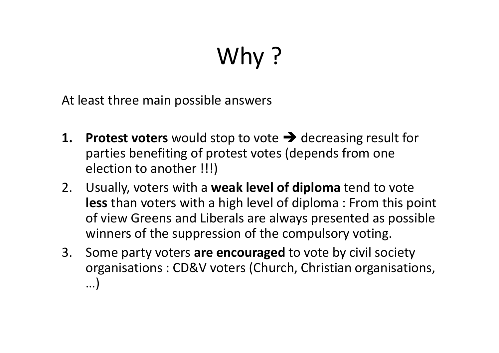# Why ?

At least three main possible answers

- **1. Protest voters** would stop to vote  $\rightarrow$  decreasing result for<br>parties benefiting of protest votes (depends from one parties benefiting of protest votes (depends from one election to another !!!)
- 2. Usually, voters with a **weak level of diploma** tend to vote **less** than voters with a high level of diploma : From this point of view Greens and Liberals are always presented as possible winners of the suppression of the compulsory voting.
- 3. Some party voters **are encouraged** to vote by civil society organisations : CD&V voters (Church, Christian organisations, …)